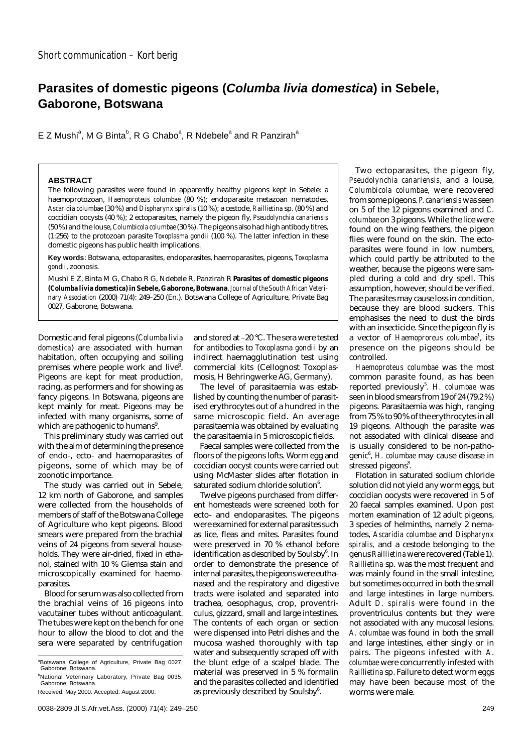# **Parasites of domestic pigeons (Columba livia domestica) in Sebele, Gaborone, Botswana**

E Z Mushi<sup>a</sup>, M G Binta<sup>b</sup>, R G Chabo<sup>a</sup>, R Ndebele<sup>a</sup> and R Panzirah<sup>a</sup>

## **ABSTRACT**

The following parasites were found in apparently healthy pigeons kept in Sebele: a haemoprotozoan, *Haemoproteus columbae* (80 %); endoparasite metazoan nematodes, *Ascaridia columbae* (30 %) and *Dispharynx spiralis* (10 %); a cestode, *Raillietina* sp. (80 %) and coccidian oocysts (40 %); 2 ectoparasites, namely the pigeon fly, *Pseudolynchia canariensis* (50 %) and the louse, *Columbicola columbae*(30 %). The pigeons also had high antibody titres, (1:256) to the protozoan parasite *Toxoplasma gondii* (100 %). The latter infection in these domestic pigeons has public health implications.

**Key words**: Botswana, ectoparasites, endoparasites, haemoparasites, pigeons, *Toxoplasma gondii*, zoonosis.

Mushi E Z, Binta M G, Chabo R G, Ndebele R, Panzirah R **Parasites of domestic pigeons (***Columba livia domestica***) in Sebele, Gaborone, Botswana**.*Journal of the South African Veterinary Association* (2000) 71(4): 249–250 (En.). Botswana College of Agriculture, Private Bag 0027, Gaborone, Botswana.

Domestic and feral pigeons (*Columba livia domestica*) are associated with human habitation, often occupying and soiling premises where people work and live<sup>9</sup>. Pigeons are kept for meat production, racing, as performers and for showing as fancy pigeons. In Botswana, pigeons are kept mainly for meat. Pigeons may be infected with many organisms, some of which are pathogenic to humans $^9$ .

This preliminary study was carried out with the aim of determining the presence of endo-, ecto- and haemoparasites of pigeons, some of which may be of zoonotic importance.

The study was carried out in Sebele, 12 km north of Gaborone, and samples were collected from the households of members of staff of the Botswana College of Agriculture who kept pigeons. Blood smears were prepared from the brachial veins of 24 pigeons from several households. They were air-dried, fixed in ethanol, stained with 10 % Giemsa stain and microscopically examined for haemoparasites.

Blood for serum was also collected from the brachial veins of 16 pigeons into vacutainer tubes without anticoagulant. The tubes were kept on the bench for one hour to allow the blood to clot and the sera were separated by centrifugation

and stored at –20 °C. The sera were tested for antibodies to *Toxoplasma gondii* by an indirect haemagglutination test using commercial kits (Cellognost Toxoplasmosis, H Behringwerke AG, Germany).

The level of parasitaemia was established by counting the number of parasitised erythrocytes out of a hundred in the same microscopic field. An average parasitaemia was obtained by evaluating the parasitaemia in 5 microscopic fields.

Faecal samples were collected from the floors of the pigeons lofts. Worm egg and coccidian oocyst counts were carried out using McMaster slides after flotation in saturated sodium chloride solution $6$ .

Twelve pigeons purchased from different homesteads were screened both for ecto- and endoparasites. The pigeons were examined for external parasites such as lice, fleas and mites. Parasites found were preserved in 70 % ethanol before identification as described by Soulsby<sup>6</sup>. In order to demonstrate the presence of internal parasites, the pigeons were euthanased and the respiratory and digestive tracts were isolated and separated into trachea, oesophagus, crop, proventriculus, gizzard, small and large intestines. The contents of each organ or section were dispensed into Petri dishes and the mucosa washed thoroughly with tap water and subsequently scraped off with the blunt edge of a scalpel blade. The material was preserved in 5 % formalin and the parasites collected and identified as previously described by Soulsby<sup>6</sup>.

Two ectoparasites, the pigeon fly, *Pseudolynchia canariensis,* and a louse, *Columbicola columbae,* were recovered from some pigeons. *P. canariensis* was seen on 5 of the 12 pigeons examined and *C. columbae* on 3 pigeons. While the lice were found on the wing feathers, the pigeon flies were found on the skin. The ectoparasites were found in low numbers, which could partly be attributed to the weather, because the pigeons were sampled during a cold and dry spell. This assumption, however, should be verified. The parasites may cause loss in condition, because they are blood suckers. This emphasises the need to dust the birds with an insecticide. Since the pigeon fly is a vector of *Haemoproreus columbae*<sup>1</sup> , its presence on the pigeons should be controlled.

*Haemoproteus columbae* was the most common parasite found, as has been reported previously<sup>5</sup>. H. columbae was seen in blood smears from 19 of 24 (79.2 %) pigeons. Parasitaemia was high, ranging from 75 % to 90 % of the erythrocytes in all 19 pigeons. Although the parasite was not associated with clinical disease and is usually considered to be non-pathogenic<sup>6</sup>, H. columbae may cause disease in stressed pigeons<sup>8</sup>.

Flotation in saturated sodium chloride solution did not yield any worm eggs, but coccidian oocysts were recovered in 5 of 20 faecal samples examined. Upon *post mortem* examination of 12 adult pigeons, 3 species of helminths, namely 2 nematodes, *Ascaridia columbae* and *Dispharynx spiralis,* and a cestode belonging to the genus *Raillietina* were recovered (Table 1). *Raillietina* sp. was the most frequent and was mainly found in the small intestine, but sometimes occurred in both the small and large intestines in large numbers. Adult *D. spiralis* were found in the proventriculus contents but they were not associated with any mucosal lesions. *A. columbae* was found in both the small and large intestines, either singly or in pairs. The pigeons infested with *A. columbae* were concurrently infested with *Raillietina* sp. Failure to detect worm eggs may have been because most of the worms were male.

<sup>&</sup>lt;sup>a</sup>Botswana College of Agriculture, Private Bag 0027, Gaborone, Botswana.

<sup>&</sup>lt;sup>b</sup>National Veterinary Laboratory, Private Bag 0035, Gaborone, Botswana.

Received: May 2000. Accepted: August 2000.